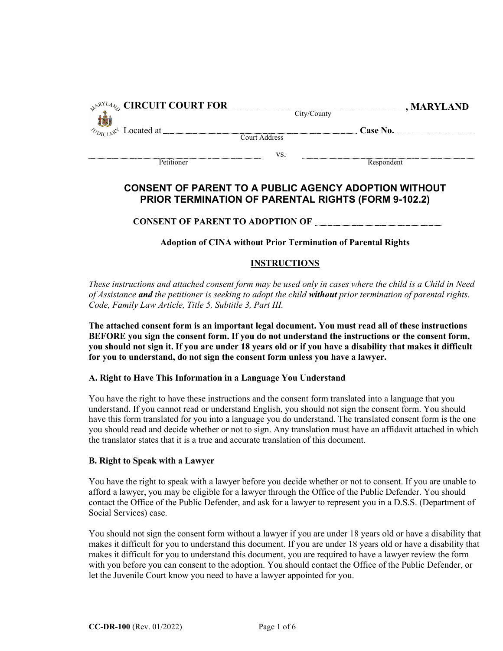| $\mathbb{R}^{\mathbb{R}^{NL}4}\otimes$ CIRCUIT COURT FOR |               | $\Box$ , MARYLAND |
|----------------------------------------------------------|---------------|-------------------|
|                                                          |               | City/County       |
| $\sim_{D_{\text{ICL}} \mathbb{R}^4}$ Located at          |               | Case No.          |
|                                                          | Court Address |                   |
|                                                          | VS.           |                   |
| Petitioner                                               |               | Respondent        |

# **CONSENT OF PARENT TO A PUBLIC AGENCY ADOPTION WITHOUT PRIOR TERMINATION OF PARENTAL RIGHTS (FORM 9-102.2)**

**CONSENT OF PARENT TO ADOPTION OF**

**Adoption of CINA without Prior Termination of Parental Rights**

## **INSTRUCTIONS**

*These instructions and attached consent form may be used only in cases where the child is a Child in Need of Assistance and the petitioner is seeking to adopt the child without prior termination of parental rights. Code, Family Law Article, Title 5, Subtitle 3, Part III.* 

**The attached consent form is an important legal document. You must read all of these instructions BEFORE you sign the consent form. If you do not understand the instructions or the consent form, you should not sign it. If you are under 18 years old or if you have a disability that makes it difficult for you to understand, do not sign the consent form unless you have a lawyer.** 

## **A. Right to Have This Information in a Language You Understand**

You have the right to have these instructions and the consent form translated into a language that you understand. If you cannot read or understand English, you should not sign the consent form. You should have this form translated for you into a language you do understand. The translated consent form is the one you should read and decide whether or not to sign. Any translation must have an affidavit attached in which the translator states that it is a true and accurate translation of this document.

## **B. Right to Speak with a Lawyer**

You have the right to speak with a lawyer before you decide whether or not to consent. If you are unable to afford a lawyer, you may be eligible for a lawyer through the Office of the Public Defender. You should contact the Office of the Public Defender, and ask for a lawyer to represent you in a D.S.S. (Department of Social Services) case.

You should not sign the consent form without a lawyer if you are under 18 years old or have a disability that makes it difficult for you to understand this document. If you are under 18 years old or have a disability that makes it difficult for you to understand this document, you are required to have a lawyer review the form with you before you can consent to the adoption. You should contact the Office of the Public Defender, or let the Juvenile Court know you need to have a lawyer appointed for you.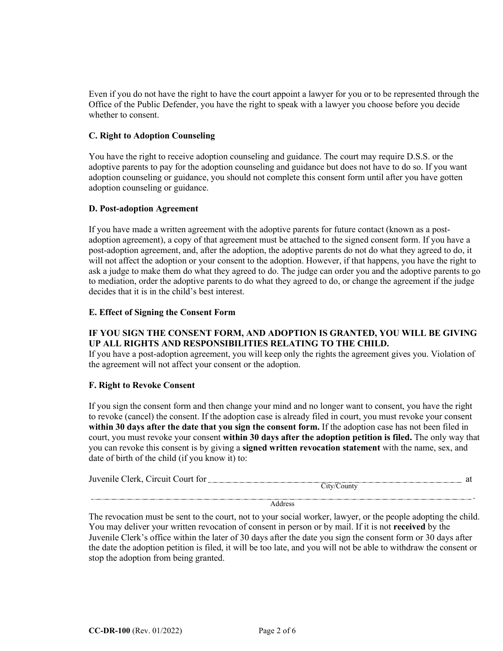Even if you do not have the right to have the court appoint a lawyer for you or to be represented through the Office of the Public Defender, you have the right to speak with a lawyer you choose before you decide whether to consent.

## **C. Right to Adoption Counseling**

You have the right to receive adoption counseling and guidance. The court may require D.S.S. or the adoptive parents to pay for the adoption counseling and guidance but does not have to do so. If you want adoption counseling or guidance, you should not complete this consent form until after you have gotten adoption counseling or guidance.

## **D. Post-adoption Agreement**

If you have made a written agreement with the adoptive parents for future contact (known as a postadoption agreement), a copy of that agreement must be attached to the signed consent form. If you have a post-adoption agreement, and, after the adoption, the adoptive parents do not do what they agreed to do, it will not affect the adoption or your consent to the adoption. However, if that happens, you have the right to ask a judge to make them do what they agreed to do. The judge can order you and the adoptive parents to go to mediation, order the adoptive parents to do what they agreed to do, or change the agreement if the judge decides that it is in the child's best interest.

#### **E. Effect of Signing the Consent Form**

## **IF YOU SIGN THE CONSENT FORM, AND ADOPTION IS GRANTED, YOU WILL BE GIVING UP ALL RIGHTS AND RESPONSIBILITIES RELATING TO THE CHILD.**

If you have a post-adoption agreement, you will keep only the rights the agreement gives you. Violation of the agreement will not affect your consent or the adoption.

## **F. Right to Revoke Consent**

If you sign the consent form and then change your mind and no longer want to consent, you have the right to revoke (cancel) the consent. If the adoption case is already filed in court, you must revoke your consent **within 30 days after the date that you sign the consent form.** If the adoption case has not been filed in court, you must revoke your consent **within 30 days after the adoption petition is filed.** The only way that you can revoke this consent is by giving a **signed written revocation statement** with the name, sex, and date of birth of the child (if you know it) to:

| Juvenile Clerk, Ci<br>Circuit Court for | . |
|-----------------------------------------|---|
| `ounty<br>11V/l                         |   |

Address

.

The revocation must be sent to the court, not to your social worker, lawyer, or the people adopting the child. You may deliver your written revocation of consent in person or by mail. If it is not **received** by the Juvenile Clerk's office within the later of 30 days after the date you sign the consent form or 30 days after the date the adoption petition is filed, it will be too late, and you will not be able to withdraw the consent or stop the adoption from being granted.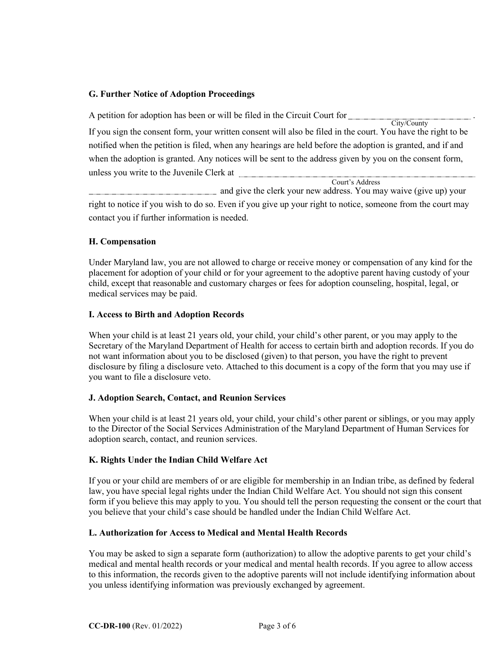## **G. Further Notice of Adoption Proceedings**

| A petition for adoption has been or will be filed in the Circuit Court for                                   |  |  |  |  |
|--------------------------------------------------------------------------------------------------------------|--|--|--|--|
| City/County                                                                                                  |  |  |  |  |
| If you sign the consent form, your written consent will also be filed in the court. You have the right to be |  |  |  |  |
| notified when the petition is filed, when any hearings are held before the adoption is granted, and if and   |  |  |  |  |
| when the adoption is granted. Any notices will be sent to the address given by you on the consent form,      |  |  |  |  |
| unless you write to the Juvenile Clerk at                                                                    |  |  |  |  |
| Court's Address                                                                                              |  |  |  |  |

 and give the clerk your new address. You may waive (give up) your right to notice if you wish to do so. Even if you give up your right to notice, someone from the court may contact you if further information is needed.

## **H. Compensation**

Under Maryland law, you are not allowed to charge or receive money or compensation of any kind for the placement for adoption of your child or for your agreement to the adoptive parent having custody of your child, except that reasonable and customary charges or fees for adoption counseling, hospital, legal, or medical services may be paid.

## **I. Access to Birth and Adoption Records**

When your child is at least 21 years old, your child, your child's other parent, or you may apply to the Secretary of the Maryland Department of Health for access to certain birth and adoption records. If you do not want information about you to be disclosed (given) to that person, you have the right to prevent disclosure by filing a disclosure veto. Attached to this document is a copy of the form that you may use if you want to file a disclosure veto.

## **J. Adoption Search, Contact, and Reunion Services**

When your child is at least 21 years old, your child, your child's other parent or siblings, or you may apply to the Director of the Social Services Administration of the Maryland Department of Human Services for adoption search, contact, and reunion services.

## **K. Rights Under the Indian Child Welfare Act**

If you or your child are members of or are eligible for membership in an Indian tribe, as defined by federal law, you have special legal rights under the Indian Child Welfare Act. You should not sign this consent form if you believe this may apply to you. You should tell the person requesting the consent or the court that you believe that your child's case should be handled under the Indian Child Welfare Act.

## **L. Authorization for Access to Medical and Mental Health Records**

You may be asked to sign a separate form (authorization) to allow the adoptive parents to get your child's medical and mental health records or your medical and mental health records. If you agree to allow access to this information, the records given to the adoptive parents will not include identifying information about you unless identifying information was previously exchanged by agreement.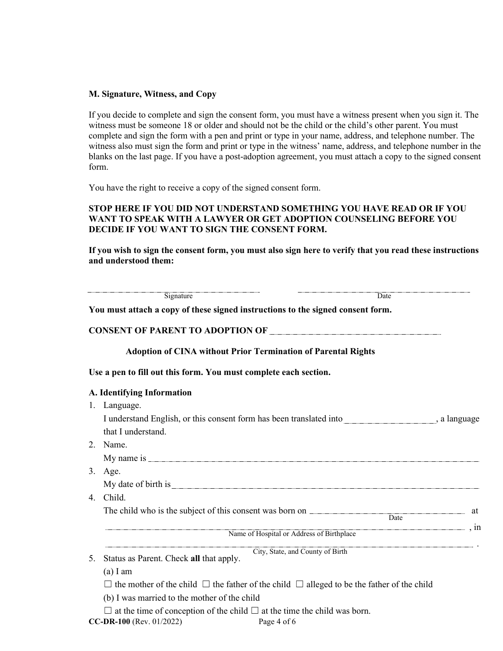#### **M. Signature, Witness, and Copy**

If you decide to complete and sign the consent form, you must have a witness present when you sign it. The witness must be someone 18 or older and should not be the child or the child's other parent. You must complete and sign the form with a pen and print or type in your name, address, and telephone number. The witness also must sign the form and print or type in the witness' name, address, and telephone number in the blanks on the last page. If you have a post-adoption agreement, you must attach a copy to the signed consent form.

You have the right to receive a copy of the signed consent form.

## **STOP HERE IF YOU DID NOT UNDERSTAND SOMETHING YOU HAVE READ OR IF YOU WANT TO SPEAK WITH A LAWYER OR GET ADOPTION COUNSELING BEFORE YOU DECIDE IF YOU WANT TO SIGN THE CONSENT FORM.**

**If you wish to sign the consent form, you must also sign here to verify that you read these instructions and understood them:**

|    | Signature                                                                                                        | $\overline{Date}$                                                                                          |  |  |  |  |
|----|------------------------------------------------------------------------------------------------------------------|------------------------------------------------------------------------------------------------------------|--|--|--|--|
|    | You must attach a copy of these signed instructions to the signed consent form.                                  |                                                                                                            |  |  |  |  |
|    |                                                                                                                  |                                                                                                            |  |  |  |  |
|    | <b>Adoption of CINA without Prior Termination of Parental Rights</b>                                             |                                                                                                            |  |  |  |  |
|    | Use a pen to fill out this form. You must complete each section.                                                 |                                                                                                            |  |  |  |  |
|    | A. Identifying Information                                                                                       |                                                                                                            |  |  |  |  |
|    | 1. Language.                                                                                                     |                                                                                                            |  |  |  |  |
|    |                                                                                                                  | I understand English, or this consent form has been translated into ____________________, a language       |  |  |  |  |
|    | that I understand.                                                                                               |                                                                                                            |  |  |  |  |
| 2. | Name.                                                                                                            |                                                                                                            |  |  |  |  |
|    |                                                                                                                  |                                                                                                            |  |  |  |  |
| 3. | Age.                                                                                                             |                                                                                                            |  |  |  |  |
|    |                                                                                                                  | My date of birth is                                                                                        |  |  |  |  |
| 4. | Child.                                                                                                           |                                                                                                            |  |  |  |  |
|    |                                                                                                                  | Date                                                                                                       |  |  |  |  |
|    |                                                                                                                  |                                                                                                            |  |  |  |  |
|    |                                                                                                                  | Name of Hospital or Address of Birthplace                                                                  |  |  |  |  |
| 5. | Status as Parent. Check all that apply.                                                                          | City, State, and County of Birth                                                                           |  |  |  |  |
|    | $(a)$ I am                                                                                                       |                                                                                                            |  |  |  |  |
|    |                                                                                                                  | $\Box$ the mother of the child $\Box$ the father of the child $\Box$ alleged to be the father of the child |  |  |  |  |
|    | (b) I was married to the mother of the child                                                                     |                                                                                                            |  |  |  |  |
|    | $\Box$ at the time of conception of the child $\Box$ at the time the child was born.<br>CC-DR-100 (Rev. 01/2022) | Page 4 of 6                                                                                                |  |  |  |  |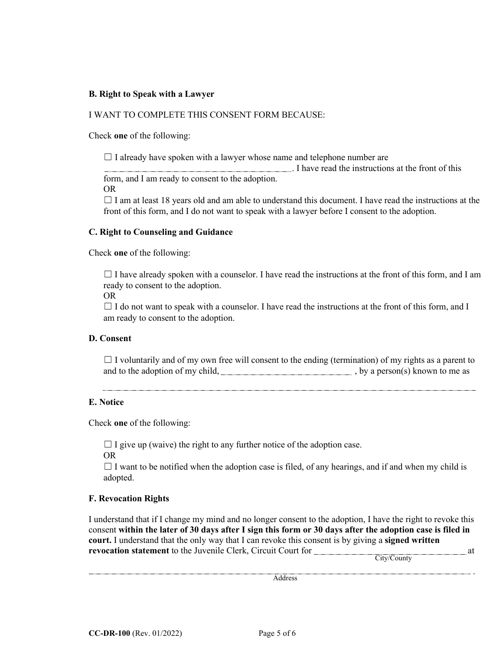## **B. Right to Speak with a Lawyer**

#### I WANT TO COMPLETE THIS CONSENT FORM BECAUSE:

Check **one** of the following:

 $\Box$  I already have spoken with a lawyer whose name and telephone number are

. I have read the instructions at the front of this

form, and I am ready to consent to the adoption. OR

 $\Box$  I am at least 18 years old and am able to understand this document. I have read the instructions at the front of this form, and I do not want to speak with a lawyer before I consent to the adoption.

#### **C. Right to Counseling and Guidance**

Check **one** of the following:

 $\Box$  I have already spoken with a counselor. I have read the instructions at the front of this form, and I am ready to consent to the adoption.

OR

 $\Box$  I do not want to speak with a counselor. I have read the instructions at the front of this form, and I am ready to consent to the adoption.

## **D. Consent**

 $\Box$  I voluntarily and of my own free will consent to the ending (termination) of my rights as a parent to and to the adoption of my child,  $\qquad \qquad$ , by a person(s) known to me as

## **E. Notice**

Check **one** of the following:

 $\Box$  I give up (waive) the right to any further notice of the adoption case.

OR

 $\Box$  I want to be notified when the adoption case is filed, of any hearings, and if and when my child is adopted.

## **F. Revocation Rights**

I understand that if I change my mind and no longer consent to the adoption, I have the right to revoke this consent **within the later of 30 days after I sign this form or 30 days after the adoption case is filed in court.** I understand that the only way that I can revoke this consent is by giving a **signed written revocation statement** to the Juvenile Clerk, Circuit Court for **All and Statement Let** at

City/County

.

**Address**